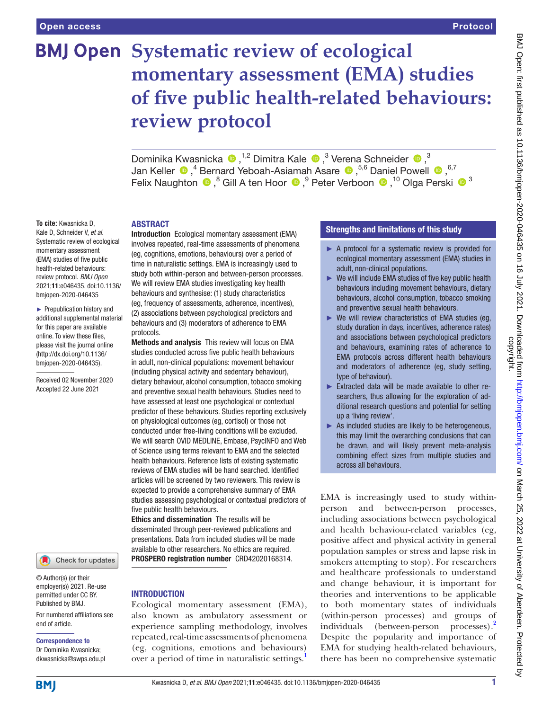**To cite:** Kwasnicka D, Kale D, Schneider V, *et al*. Systematic review of ecological momentary assessment (EMA) studies of five public health-related behaviours: review protocol. *BMJ Open* 2021;11:e046435. doi:10.1136/ bmjopen-2020-046435 ► Prepublication history and additional supplemental material for this paper are available online. To view these files, please visit the journal online [\(http://dx.doi.org/10.1136/](http://dx.doi.org/10.1136/bmjopen-2020-046435) [bmjopen-2020-046435](http://dx.doi.org/10.1136/bmjopen-2020-046435)). Received 02 November 2020 Accepted 22 June 2021

# **BMJ Open Systematic review of ecological momentary assessment (EMA) studies of five public health-related behaviours: review protocol**

DominikaKwasnicka  $\bullet$ ,<sup>1,2</sup> Dimitra Kale  $\bullet$ ,<sup>3</sup> Verena Schneider  $\bullet$ ,<sup>3</sup> JanKeller  $\bigcirc$ ,<sup>4</sup> Bernard Yeboah-Asiamah Asare  $\bigcirc$ ,<sup>5,6</sup> Daniel Powell  $\bigcirc$ ,<sup>6,7</sup> FelixNaughton  $\bigcirc$ ,<sup>8</sup> Gill A ten Hoor  $\bigcirc$ , <sup>9</sup> Peter Verboon  $\bigcirc$ , <sup>10</sup> Olga Perski  $\bigcirc$  <sup>3</sup>

### ABSTRACT

Introduction Ecological momentary assessment (EMA) involves repeated, real-time assessments of phenomena (eg, cognitions, emotions, behaviours) over a period of time in naturalistic settings. EMA is increasingly used to study both within-person and between-person processes. We will review EMA studies investigating key health behaviours and synthesise: (1) study characteristics (eg, frequency of assessments, adherence, incentives), (2) associations between psychological predictors and behaviours and (3) moderators of adherence to EMA protocols.

Methods and analysis This review will focus on EMA studies conducted across five public health behaviours in adult, non-clinical populations: movement behaviour (including physical activity and sedentary behaviour), dietary behaviour, alcohol consumption, tobacco smoking and preventive sexual health behaviours. Studies need to have assessed at least one psychological or contextual predictor of these behaviours. Studies reporting exclusively on physiological outcomes (eg, cortisol) or those not conducted under free-living conditions will be excluded. We will search OVID MEDLINE, Embase, PsycINFO and Web of Science using terms relevant to EMA and the selected health behaviours. Reference lists of existing systematic reviews of EMA studies will be hand searched. Identified articles will be screened by two reviewers. This review is expected to provide a comprehensive summary of EMA studies assessing psychological or contextual predictors of five public health behaviours.

Ethics and dissemination The results will be disseminated through peer-reviewed publications and presentations. Data from included studies will be made available to other researchers. No ethics are required. PROSPERO registration number CRD42020168314.

## Check for updates

© Author(s) (or their employer(s)) 2021. Re-use permitted under CC BY. Published by BMJ.

For numbered affiliations see end of article.

### Correspondence to Dr Dominika Kwasnicka;

dkwasnicka@swps.edu.pl

### INTRODUCTION

Ecological momentary assessment (EMA), also known as ambulatory assessment or experience sampling methodology, involves repeated, real-time assessments of phenomena (eg, cognitions, emotions and behaviours) over a period of time in naturalistic settings.<sup>[1](#page-5-0)</sup>

### Strengths and limitations of this study

- ► A protocol for a systematic review is provided for ecological momentary assessment (EMA) studies in adult, non-clinical populations.
- ► We will include EMA studies of five key public health behaviours including movement behaviours, dietary behaviours, alcohol consumption, tobacco smoking and preventive sexual health behaviours.
- $\triangleright$  We will review characteristics of EMA studies (eg, study duration in days, incentives, adherence rates) and associations between psychological predictors and behaviours, examining rates of adherence to EMA protocols across different health behaviours and moderators of adherence (eg, study setting, type of behaviour).
- ► Extracted data will be made available to other researchers, thus allowing for the exploration of additional research questions and potential for setting up a 'living review'.
- $\blacktriangleright$  As included studies are likely to be heterogeneous, this may limit the overarching conclusions that can be drawn, and will likely prevent meta-analysis combining effect sizes from multiple studies and across all behaviours.

EMA is increasingly used to study withinperson and between-person processes, including associations between psychological and health behaviour-related variables (eg, positive affect and physical activity in general population samples or stress and lapse risk in smokers attempting to stop). For researchers and healthcare professionals to understand and change behaviour, it is important for theories and interventions to be applicable to both momentary states of individuals (within-person processes) and groups of individuals (between-person processes).<sup>2</sup> Despite the popularity and importance of EMA for studying health-related behaviours, there has been no comprehensive systematic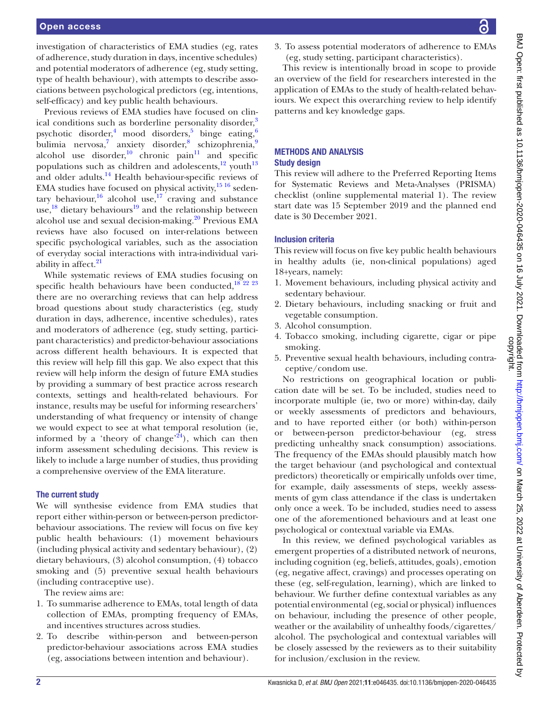### Open access

investigation of characteristics of EMA studies (eg, rates of adherence, study duration in days, incentive schedules) and potential moderators of adherence (eg, study setting, type of health behaviour), with attempts to describe associations between psychological predictors (eg, intentions, self-efficacy) and key public health behaviours.

Previous reviews of EMA studies have focused on clinical conditions such as borderline personality disorder. psychotic disorder,<sup>4</sup> mood disorders,<sup>[5](#page-5-4)</sup> binge eating,<sup>[6](#page-5-5)</sup> bulimia nervosa,<sup>[7](#page-5-6)</sup> anxiety disorder,<sup>[8](#page-5-7)</sup> schizophrenia,[9](#page-5-8) alcohol use disorder, $10$  chronic pain<sup>11</sup> and specific populations such as children and adolescents, $12 \text{ vouth}^{13}$  $12 \text{ vouth}^{13}$ and older adults.<sup>14</sup> Health behaviour-specific reviews of EMA studies have focused on physical activity,<sup>15 16</sup> sedentary behaviour,<sup>16</sup> alcohol use,<sup>17</sup> craving and substance use,<sup>[18](#page-5-17)</sup> dietary behaviours<sup>[19](#page-5-18)</sup> and the relationship between alcohol use and sexual decision-making. $20$  Previous EMA reviews have also focused on inter-relations between specific psychological variables, such as the association of everyday social interactions with intra-individual variability in affect. $21$ 

While systematic reviews of EMA studies focusing on specific health behaviours have been conducted, $18^{722}$   $23$ there are no overarching reviews that can help address broad questions about study characteristics (eg, study duration in days, adherence, incentive schedules), rates and moderators of adherence (eg, study setting, participant characteristics) and predictor-behaviour associations across different health behaviours. It is expected that this review will help fill this gap. We also expect that this review will help inform the design of future EMA studies by providing a summary of best practice across research contexts, settings and health-related behaviours. For instance, results may be useful for informing researchers' understanding of what frequency or intensity of change we would expect to see at what temporal resolution (ie, informed by a 'theory of change'<sup>24</sup>), which can then inform assessment scheduling decisions. This review is likely to include a large number of studies, thus providing a comprehensive overview of the EMA literature.

### The current study

We will synthesise evidence from EMA studies that report either within-person or between-person predictorbehaviour associations. The review will focus on five key public health behaviours: (1) movement behaviours (including physical activity and sedentary behaviour), (2) dietary behaviours, (3) alcohol consumption, (4) tobacco smoking and (5) preventive sexual health behaviours (including contraceptive use).

The review aims are:

- 1. To summarise adherence to EMAs, total length of data collection of EMAs, prompting frequency of EMAs, and incentives structures across studies.
- 2. To describe within-person and between-person predictor-behaviour associations across EMA studies (eg, associations between intention and behaviour).

3. To assess potential moderators of adherence to EMAs (eg, study setting, participant characteristics).

This review is intentionally broad in scope to provide an overview of the field for researchers interested in the application of EMAs to the study of health-related behaviours. We expect this overarching review to help identify patterns and key knowledge gaps.

### METHODS AND ANALYSIS Study design

This review will adhere to the Preferred Reporting Items for Systematic Reviews and Meta-Analyses (PRISMA) checklist [\(online supplemental material 1](https://dx.doi.org/10.1136/bmjopen-2020-046435)). The review start date was 15 September 2019 and the planned end date is 30 December 2021.

### Inclusion criteria

This review will focus on five key public health behaviours in healthy adults (ie, non-clinical populations) aged 18+years, namely:

- 1. Movement behaviours, including physical activity and sedentary behaviour.
- 2. Dietary behaviours, including snacking or fruit and vegetable consumption.
- 3. Alcohol consumption.
- 4. Tobacco smoking, including cigarette, cigar or pipe smoking.
- 5. Preventive sexual health behaviours, including contraceptive/condom use.

No restrictions on geographical location or publication date will be set. To be included, studies need to incorporate multiple (ie, two or more) within-day, daily or weekly assessments of predictors and behaviours, and to have reported either (or both) within-person or between-person predictor-behaviour (eg, stress predicting unhealthy snack consumption) associations. The frequency of the EMAs should plausibly match how the target behaviour (and psychological and contextual predictors) theoretically or empirically unfolds over time, for example, daily assessments of steps, weekly assessments of gym class attendance if the class is undertaken only once a week. To be included, studies need to assess one of the aforementioned behaviours and at least one psychological or contextual variable via EMAs.

In this review, we defined psychological variables as emergent properties of a distributed network of neurons, including cognition (eg, beliefs, attitudes, goals), emotion (eg, negative affect, cravings) and processes operating on these (eg, self-regulation, learning), which are linked to behaviour. We further define contextual variables as any potential environmental (eg, social or physical) influences on behaviour, including the presence of other people, weather or the availability of unhealthy foods/cigarettes/ alcohol. The psychological and contextual variables will be closely assessed by the reviewers as to their suitability for inclusion/exclusion in the review.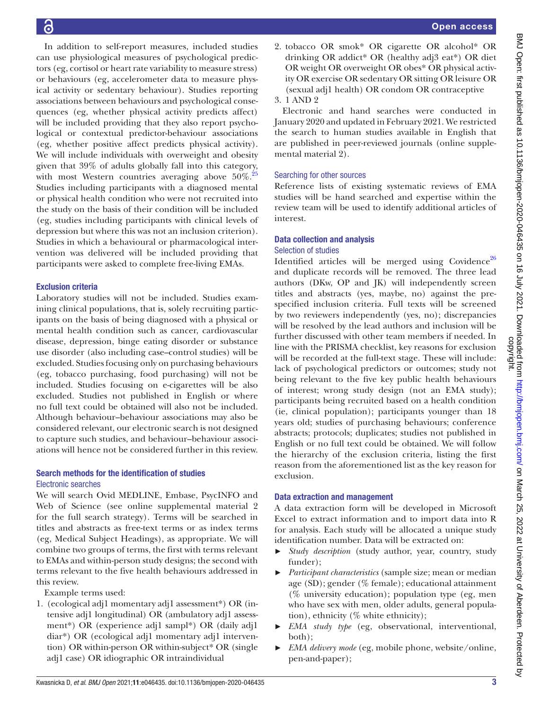In addition to self-report measures, included studies can use physiological measures of psychological predictors (eg, cortisol or heart rate variability to measure stress) or behaviours (eg, accelerometer data to measure physical activity or sedentary behaviour). Studies reporting associations between behaviours and psychological consequences (eg, whether physical activity predicts affect) will be included providing that they also report psychological or contextual predictor-behaviour associations (eg, whether positive affect predicts physical activity). We will include individuals with overweight and obesity given that 39% of adults globally fall into this category, with most Western countries averaging above  $50\%$ <sup>25</sup> Studies including participants with a diagnosed mental or physical health condition who were not recruited into the study on the basis of their condition will be included (eg, studies including participants with clinical levels of depression but where this was not an inclusion criterion). Studies in which a behavioural or pharmacological intervention was delivered will be included providing that participants were asked to complete free-living EMAs.

### Exclusion criteria

Laboratory studies will not be included. Studies examining clinical populations, that is, solely recruiting participants on the basis of being diagnosed with a physical or mental health condition such as cancer, cardiovascular disease, depression, binge eating disorder or substance use disorder (also including case–control studies) will be excluded. Studies focusing only on purchasing behaviours (eg, tobacco purchasing, food purchasing) will not be included. Studies focusing on e-cigarettes will be also excluded. Studies not published in English or where no full text could be obtained will also not be included. Although behaviour–behaviour associations may also be considered relevant, our electronic search is not designed to capture such studies, and behaviour–behaviour associations will hence not be considered further in this review.

### Search methods for the identification of studies Electronic searches

We will search Ovid MEDLINE, Embase, PsycINFO and Web of Science (see [online supplemental material 2](https://dx.doi.org/10.1136/bmjopen-2020-046435) for the full search strategy). Terms will be searched in titles and abstracts as free-text terms or as index terms (eg, Medical Subject Headings), as appropriate. We will combine two groups of terms, the first with terms relevant to EMAs and within-person study designs; the second with terms relevant to the five health behaviours addressed in this review.

Example terms used:

1. (ecological adj1 momentary adj1 assessment\*) OR (intensive adj1 longitudinal) OR (ambulatory adj1 assessment\*) OR (experience adj1 sampl\*) OR (daily adj1 diar\*) OR (ecological adj1 momentary adj1 intervention) OR within-person OR within-subject\* OR (single adj1 case) OR idiographic OR intraindividual

2. tobacco OR smok\* OR cigarette OR alcohol\* OR drinking OR addict\* OR (healthy adj3 eat\*) OR diet OR weight OR overweight OR obes\* OR physical activity OR exercise OR sedentary OR sitting OR leisure OR (sexual adj1 health) OR condom OR contraceptive 3. 1 AND 2

Electronic and hand searches were conducted in January 2020 and updated in February 2021. We restricted the search to human studies available in English that are published in peer-reviewed journals ([online supple](https://dx.doi.org/10.1136/bmjopen-2020-046435)[mental material 2\)](https://dx.doi.org/10.1136/bmjopen-2020-046435).

### Searching for other sources

Reference lists of existing systematic reviews of EMA studies will be hand searched and expertise within the review team will be used to identify additional articles of interest.

### Data collection and analysis

### Selection of studies

Identified articles will be merged using Covidence<sup>[26](#page-5-23)</sup> and duplicate records will be removed. The three lead authors (DKw, OP and JK) will independently screen titles and abstracts (yes, maybe, no) against the prespecified inclusion criteria. Full texts will be screened by two reviewers independently (yes, no); discrepancies will be resolved by the lead authors and inclusion will be further discussed with other team members if needed. In line with the PRISMA checklist, key reasons for exclusion will be recorded at the full-text stage. These will include: lack of psychological predictors or outcomes; study not being relevant to the five key public health behaviours of interest; wrong study design (not an EMA study); participants being recruited based on a health condition (ie, clinical population); participants younger than 18 years old; studies of purchasing behaviours; conference abstracts; protocols; duplicates; studies not published in English or no full text could be obtained. We will follow the hierarchy of the exclusion criteria, listing the first reason from the aforementioned list as the key reason for exclusion.

### Data extraction and management

A data extraction form will be developed in Microsoft Excel to extract information and to import data into R for analysis. Each study will be allocated a unique study identification number. Data will be extracted on:

- ► *Study description* (study author, year, country, study funder);
- ► *Participant characteristics* (sample size; mean or median age (SD); gender (% female); educational attainment (% university education); population type (eg, men who have sex with men, older adults, general population), ethnicity (% white ethnicity);
- ► *EMA study type* (eg, observational, interventional, both);
- ► *EMA delivery mode* (eg, mobile phone, website/online, pen-and-paper);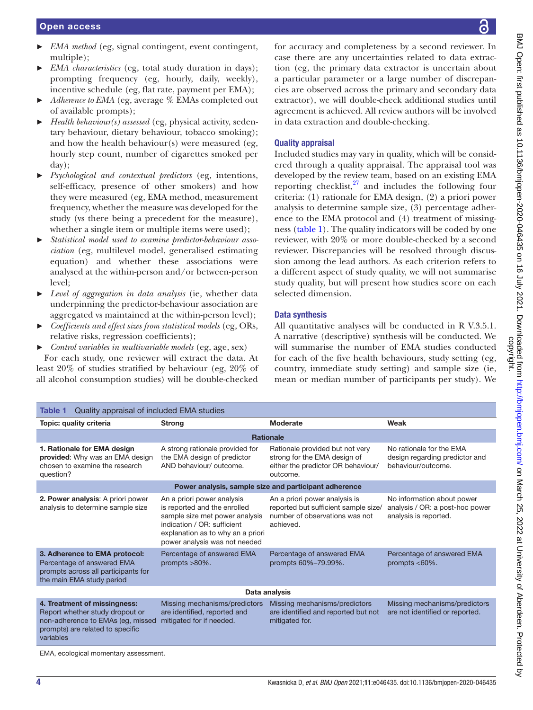- *EMA method* (eg, signal contingent, event contingent, multiple);
- *EMA characteristics* (eg, total study duration in days); prompting frequency (eg, hourly, daily, weekly), incentive schedule (eg, flat rate, payment per EMA);
- Adherence to EMA (eg, average % EMAs completed out of available prompts);
- ► *Health behaviour(s) assessed* (eg, physical activity, sedentary behaviour, dietary behaviour, tobacco smoking); and how the health behaviour(s) were measured (eg, hourly step count, number of cigarettes smoked per day);
- ► *Psychological and contextual predictors* (eg, intentions, self-efficacy, presence of other smokers) and how they were measured (eg, EMA method, measurement frequency, whether the measure was developed for the study (vs there being a precedent for the measure), whether a single item or multiple items were used);
- ► *Statistical model used to examine predictor-behaviour association* (eg, multilevel model, generalised estimating equation) and whether these associations were analysed at the within-person and/or between-person level;
- ► *Level of aggregation in data analysis* (ie, whether data underpinning the predictor-behaviour association are aggregated vs maintained at the within-person level);
- ► *Coefficients and effect sizes from statistical models* (eg, ORs, relative risks, regression coefficients);
- ► *Control variables in multivariable models* (eg, age, sex)

For each study, one reviewer will extract the data. At least 20% of studies stratified by behaviour (eg, 20% of all alcohol consumption studies) will be double-checked

for accuracy and completeness by a second reviewer. In case there are any uncertainties related to data extraction (eg, the primary data extractor is uncertain about a particular parameter or a large number of discrepancies are observed across the primary and secondary data extractor), we will double-check additional studies until agreement is achieved. All review authors will be involved in data extraction and double-checking.

### Quality appraisal

Included studies may vary in quality, which will be considered through a quality appraisal. The appraisal tool was developed by the review team, based on an existing EMA reporting checklist, $27$  and includes the following four criteria: (1) rationale for EMA design, (2) a priori power analysis to determine sample size, (3) percentage adherence to the EMA protocol and (4) treatment of missingness ([table](#page-3-0) 1). The quality indicators will be coded by one reviewer, with 20% or more double-checked by a second reviewer. Discrepancies will be resolved through discussion among the lead authors. As each criterion refers to a different aspect of study quality, we will not summarise study quality, but will present how studies score on each selected dimension.

### Data synthesis

All quantitative analyses will be conducted in R V.3.5.1. A narrative (descriptive) synthesis will be conducted. We will summarise the number of EMA studies conducted for each of the five health behaviours, study setting (eg, country, immediate study setting) and sample size (ie, mean or median number of participants per study). We

<span id="page-3-0"></span>

| Quality appraisal of included EMA studies<br><b>Table 1</b>                                                                                           |                                                                                                                                                                                                   |                                                                                                                      |                                                                                        |
|-------------------------------------------------------------------------------------------------------------------------------------------------------|---------------------------------------------------------------------------------------------------------------------------------------------------------------------------------------------------|----------------------------------------------------------------------------------------------------------------------|----------------------------------------------------------------------------------------|
| Topic: quality criteria                                                                                                                               | <b>Strong</b>                                                                                                                                                                                     | Moderate                                                                                                             | Weak                                                                                   |
| <b>Rationale</b>                                                                                                                                      |                                                                                                                                                                                                   |                                                                                                                      |                                                                                        |
| 1. Rationale for EMA design<br>provided: Why was an EMA design<br>chosen to examine the research<br>question?                                         | A strong rationale provided for<br>the EMA design of predictor<br>AND behaviour/outcome.                                                                                                          | Rationale provided but not very<br>strong for the EMA design of<br>either the predictor OR behaviour/<br>outcome.    | No rationale for the EMA<br>design regarding predictor and<br>behaviour/outcome.       |
| Power analysis, sample size and participant adherence                                                                                                 |                                                                                                                                                                                                   |                                                                                                                      |                                                                                        |
| 2. Power analysis: A priori power<br>analysis to determine sample size                                                                                | An a priori power analysis<br>is reported and the enrolled<br>sample size met power analysis<br>indication / OR: sufficient<br>explanation as to why an a priori<br>power analysis was not needed | An a priori power analysis is<br>reported but sufficient sample size/<br>number of observations was not<br>achieved. | No information about power<br>analysis / OR: a post-hoc power<br>analysis is reported. |
| 3. Adherence to EMA protocol:<br>Percentage of answered EMA<br>prompts across all participants for<br>the main EMA study period                       | Percentage of answered EMA<br>prompts $>80\%$ .                                                                                                                                                   | Percentage of answered EMA<br>prompts 60%-79.99%.                                                                    | Percentage of answered EMA<br>prompts $< 60\%$ .                                       |
| Data analysis                                                                                                                                         |                                                                                                                                                                                                   |                                                                                                                      |                                                                                        |
| 4. Treatment of missingness:<br>Report whether study dropout or<br>non-adherence to EMAs (eg, missed<br>prompts) are related to specific<br>variables | Missing mechanisms/predictors<br>are identified, reported and<br>mitigated for if needed.                                                                                                         | Missing mechanisms/predictors<br>are identified and reported but not<br>mitigated for.                               | Missing mechanisms/predictors<br>are not identified or reported.                       |

EMA, ecological momentary assessment.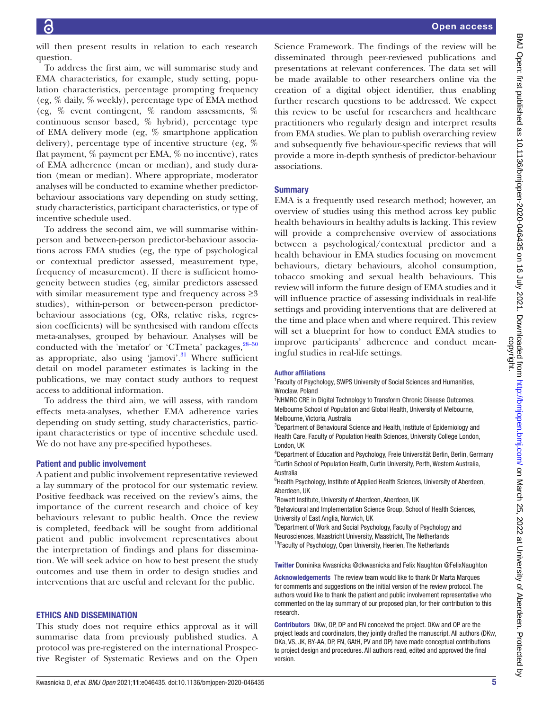will then present results in relation to each research question.

To address the first aim, we will summarise study and EMA characteristics, for example, study setting, population characteristics, percentage prompting frequency (eg, % daily, % weekly), percentage type of EMA method (eg, % event contingent, % random assessments, % continuous sensor based, % hybrid), percentage type of EMA delivery mode (eg, % smartphone application delivery), percentage type of incentive structure (eg, % flat payment, % payment per EMA, % no incentive), rates of EMA adherence (mean or median), and study duration (mean or median). Where appropriate, moderator analyses will be conducted to examine whether predictorbehaviour associations vary depending on study setting, study characteristics, participant characteristics, or type of incentive schedule used.

To address the second aim, we will summarise withinperson and between-person predictor-behaviour associations across EMA studies (eg, the type of psychological or contextual predictor assessed, measurement type, frequency of measurement). If there is sufficient homogeneity between studies (eg, similar predictors assessed with similar measurement type and frequency across  $\geq 3$ studies), within-person or between-person predictorbehaviour associations (eg, ORs, relative risks, regression coefficients) will be synthesised with random effects meta-analyses, grouped by behaviour. Analyses will be conducted with the 'metafor' or 'CTmeta' packages, $28-30$ as appropriate, also using ' $\text{jamovi}^3$ . Where sufficient detail on model parameter estimates is lacking in the publications, we may contact study authors to request access to additional information.

To address the third aim, we will assess, with random effects meta-analyses, whether EMA adherence varies depending on study setting, study characteristics, participant characteristics or type of incentive schedule used. We do not have any pre-specified hypotheses.

### Patient and public involvement

A patient and public involvement representative reviewed a lay summary of the protocol for our systematic review. Positive feedback was received on the review's aims, the importance of the current research and choice of key behaviours relevant to public health. Once the review is completed, feedback will be sought from additional patient and public involvement representatives about the interpretation of findings and plans for dissemination. We will seek advice on how to best present the study outcomes and use them in order to design studies and interventions that are useful and relevant for the public.

### ETHICS AND DISSEMINATION

This study does not require ethics approval as it will summarise data from previously published studies. A protocol was pre-registered on the international Prospective Register of Systematic Reviews and on the Open

Science Framework. The findings of the review will be disseminated through peer-reviewed publications and presentations at relevant conferences. The data set will be made available to other researchers online via the creation of a digital object identifier, thus enabling further research questions to be addressed. We expect this review to be useful for researchers and healthcare practitioners who regularly design and interpret results from EMA studies. We plan to publish overarching review and subsequently five behaviour-specific reviews that will provide a more in-depth synthesis of predictor-behaviour associations.

### **Summary**

EMA is a frequently used research method; however, an overview of studies using this method across key public health behaviours in healthy adults is lacking. This review will provide a comprehensive overview of associations between a psychological/contextual predictor and a health behaviour in EMA studies focusing on movement behaviours, dietary behaviours, alcohol consumption, tobacco smoking and sexual health behaviours. This review will inform the future design of EMA studies and it will influence practice of assessing individuals in real-life settings and providing interventions that are delivered at the time and place when and where required. This review will set a blueprint for how to conduct EMA studies to improve participants' adherence and conduct meaningful studies in real-life settings.

### Author affiliations

<sup>1</sup> Faculty of Psychology, SWPS University of Social Sciences and Humanities, Wroclaw, Poland

<sup>2</sup>NHMRC CRE in Digital Technology to Transform Chronic Disease Outcomes, Melbourne School of Population and Global Health, University of Melbourne, Melbourne, Victoria, Australia

<sup>3</sup>Department of Behavioural Science and Health, Institute of Epidemiology and Health Care, Faculty of Population Health Sciences, University College London, London, UK

4 Department of Education and Psychology, Freie Universität Berlin, Berlin, Germany <sup>5</sup>Curtin School of Population Health, Curtin University, Perth, Western Australia, Australia

<sup>6</sup> Health Psychology, Institute of Applied Health Sciences, University of Aberdeen, Aberdeen, UK

<sup>7</sup> Rowett Institute, University of Aberdeen, Aberdeen, UK

<sup>8</sup> Behavioural and Implementation Science Group, School of Health Sciences, University of East Anglia, Norwich, UK

<sup>9</sup>Department of Work and Social Psychology, Faculty of Psychology and Neurosciences, Maastricht University, Maastricht, The Netherlands <sup>10</sup>Faculty of Psychology, Open University, Heerlen, The Netherlands

Twitter Dominika Kwasnicka [@dkwasnicka](https://twitter.com/dkwasnicka) and Felix Naughton [@FelixNaughton](https://twitter.com/FelixNaughton)

Acknowledgements The review team would like to thank Dr Marta Marques for comments and suggestions on the initial version of the review protocol. The authors would like to thank the patient and public involvement representative who commented on the lay summary of our proposed plan, for their contribution to this research.

Contributors DKw, OP, DP and FN conceived the project. DKw and OP are the project leads and coordinators, they jointly drafted the manuscript. All authors (DKw, DKa, VS, JK, BY-AA, DP, FN, GAtH, PV and OP) have made conceptual contributions to project design and procedures. All authors read, edited and approved the final version.